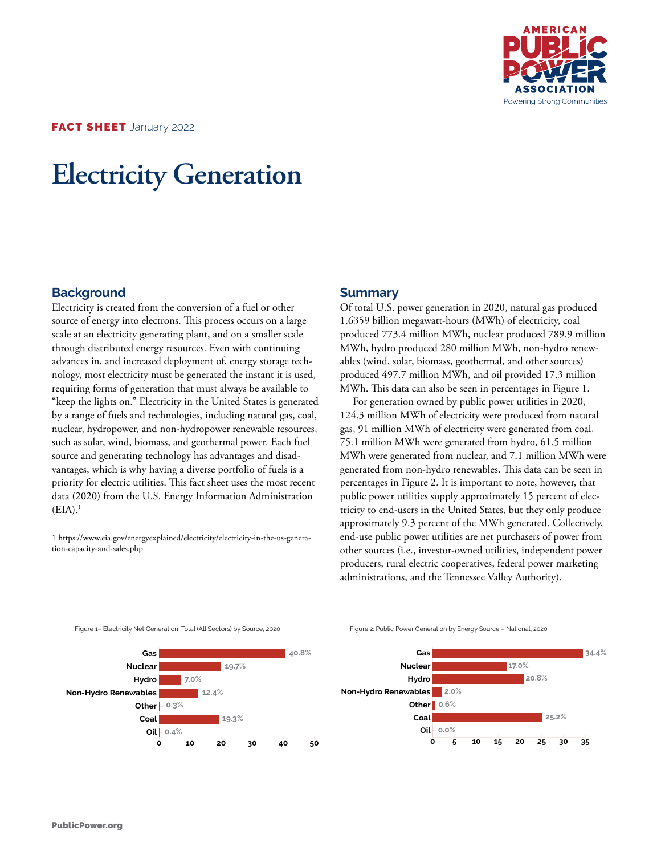

FACT SHEET January 2022

# **Electricity Generation**

## **Background**

Electricity is created from the conversion of a fuel or other source of energy into electrons. This process occurs on a large scale at an electricity generating plant, and on a smaller scale through distributed energy resources. Even with continuing advances in, and increased deployment of, energy storage technology, most electricity must be generated the instant it is used, requiring forms of generation that must always be available to "keep the lights on." Electricity in the United States is generated by a range of fuels and technologies, including natural gas, coal, nuclear, hydropower, and non-hydropower renewable resources, such as solar, wind, biomass, and geothermal power. Each fuel source and generating technology has advantages and disadvantages, which is why having a diverse portfolio of fuels is a priority for electric utilities. This fact sheet uses the most recent data (2020) from the U.S. Energy Information Administration  $(EIA).<sup>1</sup>$ 

1 https://www.eia.gov/energyexplained/electricity/electricity-in-the-us-generation-capacity-and-sales.php

### **Summary**

Of total U.S. power generation in 2020, natural gas produced 1.6359 billion megawatt-hours (MWh) of electricity, coal produced 773.4 million MWh, nuclear produced 789.9 million MWh, hydro produced 280 million MWh, non-hydro renewables (wind, solar, biomass, geothermal, and other sources) produced 497.7 million MWh, and oil provided 17.3 million MWh. This data can also be seen in percentages in Figure 1.

For generation owned by public power utilities in 2020, 124.3 million MWh of electricity were produced from natural gas, 91 million MWh of electricity were generated from coal, 75.1 million MWh were generated from hydro, 61.5 million MWh were generated from nuclear, and 7.1 million MWh were generated from non-hydro renewables. This data can be seen in percentages in Figure 2. It is important to note, however, that public power utilities supply approximately 15 percent of electricity to end-users in the United States, but they only produce approximately 9.3 percent of the MWh generated. Collectively, end-use public power utilities are net purchasers of power from other sources (i.e., investor-owned utilities, independent power producers, rural electric cooperatives, federal power marketing administrations, and the Tennessee Valley Authority).



Figure 1– Electricity Net Generation, Total (All Sectors) by Source, 2020

#### Figure 2: Public Power Generation by Energy Source – National, 2020

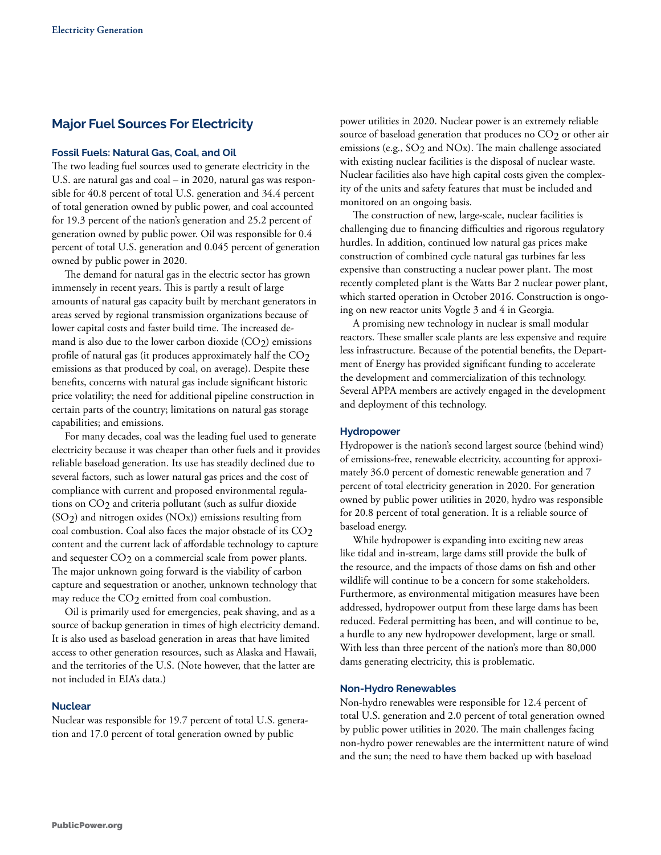## **Major Fuel Sources For Electricity**

#### **Fossil Fuels: Natural Gas, Coal, and Oil**

The two leading fuel sources used to generate electricity in the U.S. are natural gas and coal – in 2020, natural gas was responsible for 40.8 percent of total U.S. generation and 34.4 percent of total generation owned by public power, and coal accounted for 19.3 percent of the nation's generation and 25.2 percent of generation owned by public power. Oil was responsible for 0.4 percent of total U.S. generation and 0.045 percent of generation owned by public power in 2020.

The demand for natural gas in the electric sector has grown immensely in recent years. This is partly a result of large amounts of natural gas capacity built by merchant generators in areas served by regional transmission organizations because of lower capital costs and faster build time. The increased demand is also due to the lower carbon dioxide  $(CO<sub>2</sub>)$  emissions profile of natural gas (it produces approximately half the  $CO<sub>2</sub>$ emissions as that produced by coal, on average). Despite these benefits, concerns with natural gas include significant historic price volatility; the need for additional pipeline construction in certain parts of the country; limitations on natural gas storage capabilities; and emissions.

For many decades, coal was the leading fuel used to generate electricity because it was cheaper than other fuels and it provides reliable baseload generation. Its use has steadily declined due to several factors, such as lower natural gas prices and the cost of compliance with current and proposed environmental regulations on CO2 and criteria pollutant (such as sulfur dioxide (SO2) and nitrogen oxides (NOx)) emissions resulting from coal combustion. Coal also faces the major obstacle of its  $CO<sub>2</sub>$ content and the current lack of affordable technology to capture and sequester CO<sub>2</sub> on a commercial scale from power plants. The major unknown going forward is the viability of carbon capture and sequestration or another, unknown technology that may reduce the CO<sub>2</sub> emitted from coal combustion.

Oil is primarily used for emergencies, peak shaving, and as a source of backup generation in times of high electricity demand. It is also used as baseload generation in areas that have limited access to other generation resources, such as Alaska and Hawaii, and the territories of the U.S. (Note however, that the latter are not included in EIA's data.)

#### **Nuclear**

Nuclear was responsible for 19.7 percent of total U.S. generation and 17.0 percent of total generation owned by public

power utilities in 2020. Nuclear power is an extremely reliable source of baseload generation that produces no CO<sub>2</sub> or other air emissions (e.g., SO2 and NOx). The main challenge associated with existing nuclear facilities is the disposal of nuclear waste. Nuclear facilities also have high capital costs given the complexity of the units and safety features that must be included and monitored on an ongoing basis.

The construction of new, large-scale, nuclear facilities is challenging due to financing difficulties and rigorous regulatory hurdles. In addition, continued low natural gas prices make construction of combined cycle natural gas turbines far less expensive than constructing a nuclear power plant. The most recently completed plant is the Watts Bar 2 nuclear power plant, which started operation in October 2016. Construction is ongoing on new reactor units Vogtle 3 and 4 in Georgia.

A promising new technology in nuclear is small modular reactors. These smaller scale plants are less expensive and require less infrastructure. Because of the potential benefits, the Department of Energy has provided significant funding to accelerate the development and commercialization of this technology. Several APPA members are actively engaged in the development and deployment of this technology.

#### **Hydropower**

Hydropower is the nation's second largest source (behind wind) of emissions-free, renewable electricity, accounting for approximately 36.0 percent of domestic renewable generation and 7 percent of total electricity generation in 2020. For generation owned by public power utilities in 2020, hydro was responsible for 20.8 percent of total generation. It is a reliable source of baseload energy.

While hydropower is expanding into exciting new areas like tidal and in-stream, large dams still provide the bulk of the resource, and the impacts of those dams on fish and other wildlife will continue to be a concern for some stakeholders. Furthermore, as environmental mitigation measures have been addressed, hydropower output from these large dams has been reduced. Federal permitting has been, and will continue to be, a hurdle to any new hydropower development, large or small. With less than three percent of the nation's more than 80,000 dams generating electricity, this is problematic.

#### **Non-Hydro Renewables**

Non-hydro renewables were responsible for 12.4 percent of total U.S. generation and 2.0 percent of total generation owned by public power utilities in 2020. The main challenges facing non-hydro power renewables are the intermittent nature of wind and the sun; the need to have them backed up with baseload